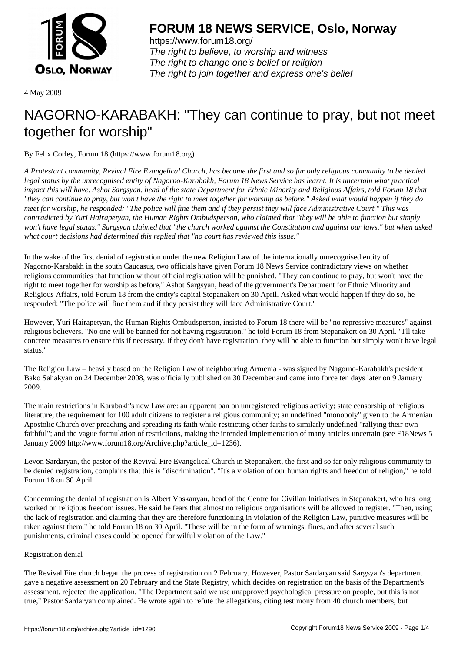

https://www.forum18.org/ The right to believe, to worship and witness The right to change one's belief or religion [The right to join together a](https://www.forum18.org/)nd express one's belief

4 May 2009

# [NAGORNO-KA](https://www.forum18.org)RABAKH: "They can continue to pray, but not meet together for worship"

By Felix Corley, Forum 18 (https://www.forum18.org)

*A Protestant community, Revival Fire Evangelical Church, has become the first and so far only religious community to be denied legal status by the unrecognised entity of Nagorno-Karabakh, Forum 18 News Service has learnt. It is uncertain what practical impact this will have. Ashot Sargsyan, head of the state Department for Ethnic Minority and Religious Affairs, told Forum 18 that "they can continue to pray, but won't have the right to meet together for worship as before." Asked what would happen if they do meet for worship, he responded: "The police will fine them and if they persist they will face Administrative Court." This was contradicted by Yuri Hairapetyan, the Human Rights Ombudsperson, who claimed that "they will be able to function but simply won't have legal status." Sargsyan claimed that "the church worked against the Constitution and against our laws," but when asked what court decisions had determined this replied that "no court has reviewed this issue."*

In the wake of the first denial of registration under the new Religion Law of the internationally unrecognised entity of Nagorno-Karabakh in the south Caucasus, two officials have given Forum 18 News Service contradictory views on whether religious communities that function without official registration will be punished. "They can continue to pray, but won't have the right to meet together for worship as before," Ashot Sargsyan, head of the government's Department for Ethnic Minority and Religious Affairs, told Forum 18 from the entity's capital Stepanakert on 30 April. Asked what would happen if they do so, he responded: "The police will fine them and if they persist they will face Administrative Court."

However, Yuri Hairapetyan, the Human Rights Ombudsperson, insisted to Forum 18 there will be "no repressive measures" against religious believers. "No one will be banned for not having registration," he told Forum 18 from Stepanakert on 30 April. "I'll take concrete measures to ensure this if necessary. If they don't have registration, they will be able to function but simply won't have legal status."

The Religion Law – heavily based on the Religion Law of neighbouring Armenia - was signed by Nagorno-Karabakh's president Bako Sahakyan on 24 December 2008, was officially published on 30 December and came into force ten days later on 9 January 2009.

The main restrictions in Karabakh's new Law are: an apparent ban on unregistered religious activity; state censorship of religious literature; the requirement for 100 adult citizens to register a religious community; an undefined "monopoly" given to the Armenian Apostolic Church over preaching and spreading its faith while restricting other faiths to similarly undefined "rallying their own faithful"; and the vague formulation of restrictions, making the intended implementation of many articles uncertain (see F18News 5 January 2009 http://www.forum18.org/Archive.php?article\_id=1236).

Levon Sardaryan, the pastor of the Revival Fire Evangelical Church in Stepanakert, the first and so far only religious community to be denied registration, complains that this is "discrimination". "It's a violation of our human rights and freedom of religion," he told Forum 18 on 30 April.

Condemning the denial of registration is Albert Voskanyan, head of the Centre for Civilian Initiatives in Stepanakert, who has long worked on religious freedom issues. He said he fears that almost no religious organisations will be allowed to register. "Then, using the lack of registration and claiming that they are therefore functioning in violation of the Religion Law, punitive measures will be taken against them," he told Forum 18 on 30 April. "These will be in the form of warnings, fines, and after several such punishments, criminal cases could be opened for wilful violation of the Law."

## Registration denial

The Revival Fire church began the process of registration on 2 February. However, Pastor Sardaryan said Sargsyan's department gave a negative assessment on 20 February and the State Registry, which decides on registration on the basis of the Department's assessment, rejected the application. "The Department said we use unapproved psychological pressure on people, but this is not true," Pastor Sardaryan complained. He wrote again to refute the allegations, citing testimony from 40 church members, but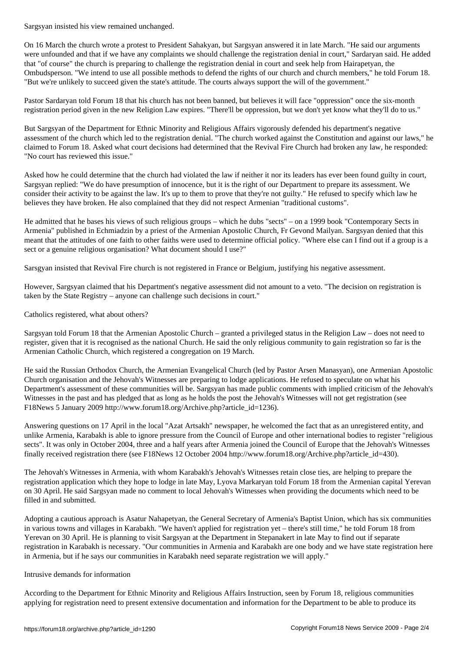On 16 March the church wrote a protest to President Sahakyan, but Sargsyan answered it in late March. "He said our arguments were unfounded and that if we have any complaints we should challenge the registration denial in court," Sardaryan said. He added that "of course" the church is preparing to challenge the registration denial in court and seek help from Hairapetyan, the Ombudsperson. "We intend to use all possible methods to defend the rights of our church and church members," he told Forum 18. "But we're unlikely to succeed given the state's attitude. The courts always support the will of the government."

Pastor Sardaryan told Forum 18 that his church has not been banned, but believes it will face "oppression" once the six-month registration period given in the new Religion Law expires. "There'll be oppression, but we don't yet know what they'll do to us."

But Sargsyan of the Department for Ethnic Minority and Religious Affairs vigorously defended his department's negative assessment of the church which led to the registration denial. "The church worked against the Constitution and against our laws," he claimed to Forum 18. Asked what court decisions had determined that the Revival Fire Church had broken any law, he responded: "No court has reviewed this issue."

Asked how he could determine that the church had violated the law if neither it nor its leaders has ever been found guilty in court, Sargsyan replied: "We do have presumption of innocence, but it is the right of our Department to prepare its assessment. We consider their activity to be against the law. It's up to them to prove that they're not guilty." He refused to specify which law he believes they have broken. He also complained that they did not respect Armenian "traditional customs".

He admitted that he bases his views of such religious groups – which he dubs "sects" – on a 1999 book "Contemporary Sects in Armenia" published in Echmiadzin by a priest of the Armenian Apostolic Church, Fr Gevond Mailyan. Sargsyan denied that this meant that the attitudes of one faith to other faiths were used to determine official policy. "Where else can I find out if a group is a sect or a genuine religious organisation? What document should I use?"

Sarsgyan insisted that Revival Fire church is not registered in France or Belgium, justifying his negative assessment.

However, Sargsyan claimed that his Department's negative assessment did not amount to a veto. "The decision on registration is taken by the State Registry – anyone can challenge such decisions in court."

Catholics registered, what about others?

Sargsyan told Forum 18 that the Armenian Apostolic Church – granted a privileged status in the Religion Law – does not need to register, given that it is recognised as the national Church. He said the only religious community to gain registration so far is the Armenian Catholic Church, which registered a congregation on 19 March.

He said the Russian Orthodox Church, the Armenian Evangelical Church (led by Pastor Arsen Manasyan), one Armenian Apostolic Church organisation and the Jehovah's Witnesses are preparing to lodge applications. He refused to speculate on what his Department's assessment of these communities will be. Sargsyan has made public comments with implied criticism of the Jehovah's Witnesses in the past and has pledged that as long as he holds the post the Jehovah's Witnesses will not get registration (see F18News 5 January 2009 http://www.forum18.org/Archive.php?article\_id=1236).

Answering questions on 17 April in the local "Azat Artsakh" newspaper, he welcomed the fact that as an unregistered entity, and unlike Armenia, Karabakh is able to ignore pressure from the Council of Europe and other international bodies to register "religious sects". It was only in October 2004, three and a half years after Armenia joined the Council of Europe that the Jehovah's Witnesses finally received registration there (see F18News 12 October 2004 http://www.forum18.org/Archive.php?article\_id=430).

The Jehovah's Witnesses in Armenia, with whom Karabakh's Jehovah's Witnesses retain close ties, are helping to prepare the registration application which they hope to lodge in late May, Lyova Markaryan told Forum 18 from the Armenian capital Yerevan on 30 April. He said Sargsyan made no comment to local Jehovah's Witnesses when providing the documents which need to be filled in and submitted.

Adopting a cautious approach is Asatur Nahapetyan, the General Secretary of Armenia's Baptist Union, which has six communities in various towns and villages in Karabakh. "We haven't applied for registration yet – there's still time," he told Forum 18 from Yerevan on 30 April. He is planning to visit Sargsyan at the Department in Stepanakert in late May to find out if separate registration in Karabakh is necessary. "Our communities in Armenia and Karabakh are one body and we have state registration here in Armenia, but if he says our communities in Karabakh need separate registration we will apply."

#### Intrusive demands for information

According to the Department for Ethnic Minority and Religious Affairs Instruction, seen by Forum 18, religious communities applying for registration need to present extensive documentation and information for the Department to be able to produce its